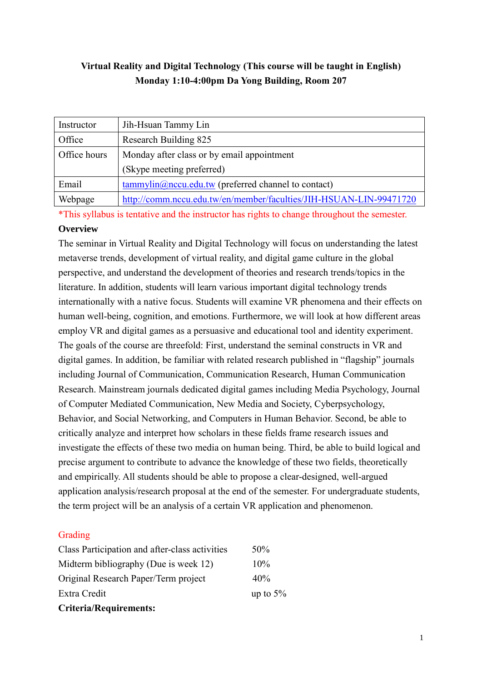# **Virtual Reality and Digital Technology (This course will be taught in English) Monday 1:10-4:00pm Da Yong Building, Room 207**

| Instructor   | Jih-Hsuan Tammy Lin                                                |
|--------------|--------------------------------------------------------------------|
| Office       | Research Building 825                                              |
| Office hours | Monday after class or by email appointment                         |
|              | (Skype meeting preferred)                                          |
| Email        | $tammylin@ncu.edu.tw$ (preferred channel to contact)               |
| Webpage      | http://comm.nccu.edu.tw/en/member/faculties/JIH-HSUAN-LIN-99471720 |

\*This syllabus is tentative and the instructor has rights to change throughout the semester. **Overview**

# The seminar in Virtual Reality and Digital Technology will focus on understanding the latest metaverse trends, development of virtual reality, and digital game culture in the global perspective, and understand the development of theories and research trends/topics in the literature. In addition, students will learn various important digital technology trends internationally with a native focus. Students will examine VR phenomena and their effects on human well-being, cognition, and emotions. Furthermore, we will look at how different areas employ VR and digital games as a persuasive and educational tool and identity experiment. The goals of the course are threefold: First, understand the seminal constructs in VR and digital games. In addition, be familiar with related research published in "flagship" journals including Journal of Communication, Communication Research, Human Communication Research. Mainstream journals dedicated digital games including Media Psychology, Journal of Computer Mediated Communication, New Media and Society, Cyberpsychology, Behavior, and Social Networking, and Computers in Human Behavior. Second, be able to critically analyze and interpret how scholars in these fields frame research issues and investigate the effects of these two media on human being. Third, be able to build logical and precise argument to contribute to advance the knowledge of these two fields, theoretically and empirically. All students should be able to propose a clear-designed, well-argued application analysis/research proposal at the end of the semester. For undergraduate students, the term project will be an analysis of a certain VR application and phenomenon.

# Grading

| <b>Criteria/Requirements:</b>                  |             |
|------------------------------------------------|-------------|
| Extra Credit                                   | up to $5\%$ |
| Original Research Paper/Term project           | 40%         |
| Midterm bibliography (Due is week 12)          | 10%         |
| Class Participation and after-class activities | 50%         |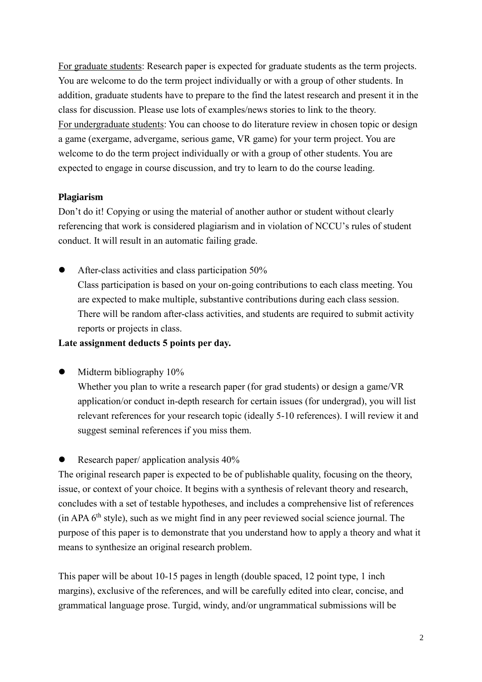For graduate students: Research paper is expected for graduate students as the term projects. You are welcome to do the term project individually or with a group of other students. In addition, graduate students have to prepare to the find the latest research and present it in the class for discussion. Please use lots of examples/news stories to link to the theory. For undergraduate students: You can choose to do literature review in chosen topic or design a game (exergame, advergame, serious game, VR game) for your term project. You are welcome to do the term project individually or with a group of other students. You are expected to engage in course discussion, and try to learn to do the course leading.

#### **Plagiarism**

Don't do it! Copying or using the material of another author or student without clearly referencing that work is considered plagiarism and in violation of NCCU's rules of student conduct. It will result in an automatic failing grade.

⚫ After-class activities and class participation 50% Class participation is based on your on-going contributions to each class meeting. You are expected to make multiple, substantive contributions during each class session. There will be random after-class activities, and students are required to submit activity reports or projects in class.

#### **Late assignment deducts 5 points per day.**

• Midterm bibliography 10%

Whether you plan to write a research paper (for grad students) or design a game/VR application/or conduct in-depth research for certain issues (for undergrad), you will list relevant references for your research topic (ideally 5-10 references). I will review it and suggest seminal references if you miss them.

⚫ Research paper/ application analysis 40%

The original research paper is expected to be of publishable quality, focusing on the theory, issue, or context of your choice. It begins with a synthesis of relevant theory and research, concludes with a set of testable hypotheses, and includes a comprehensive list of references  $(in APA 6<sup>th</sup> style), such as we might find in any peer reviewed social science journal. The$ purpose of this paper is to demonstrate that you understand how to apply a theory and what it means to synthesize an original research problem.

This paper will be about 10-15 pages in length (double spaced, 12 point type, 1 inch margins), exclusive of the references, and will be carefully edited into clear, concise, and grammatical language prose. Turgid, windy, and/or ungrammatical submissions will be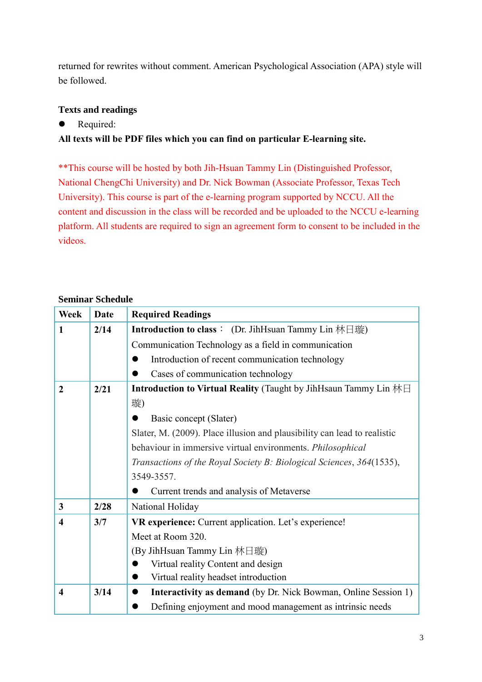returned for rewrites without comment. American Psychological Association (APA) style will be followed.

# **Texts and readings**

● Required:

# **All texts will be PDF files which you can find on particular E-learning site.**

\*\*This course will be hosted by both Jih-Hsuan Tammy Lin (Distinguished Professor, National ChengChi University) and Dr. Nick Bowman (Associate Professor, Texas Tech University). This course is part of the e-learning program supported by NCCU. All the content and discussion in the class will be recorded and be uploaded to the NCCU e-learning platform. All students are required to sign an agreement form to consent to be included in the videos.

### **Seminar Schedule**

| <b>Week</b>             | <b>Date</b> | <b>Required Readings</b>                                                           |
|-------------------------|-------------|------------------------------------------------------------------------------------|
| 1                       | 2/14        | <b>Introduction to class</b> : (Dr. JihHsuan Tammy Lin 林日璇)                        |
|                         |             | Communication Technology as a field in communication                               |
|                         |             | Introduction of recent communication technology                                    |
|                         |             | Cases of communication technology                                                  |
| $\overline{2}$          | 2/21        | <b>Introduction to Virtual Reality</b> (Taught by JihHsaun Tammy Lin 林日            |
|                         |             | 璇)                                                                                 |
|                         |             | Basic concept (Slater)                                                             |
|                         |             | Slater, M. (2009). Place illusion and plausibility can lead to realistic           |
|                         |             | behaviour in immersive virtual environments. Philosophical                         |
|                         |             | Transactions of the Royal Society B: Biological Sciences, 364(1535),               |
|                         |             | 3549-3557.                                                                         |
|                         |             | Current trends and analysis of Metaverse                                           |
| 3                       | 2/28        | National Holiday                                                                   |
| 4                       | 3/7         | VR experience: Current application. Let's experience!                              |
|                         |             | Meet at Room 320.                                                                  |
|                         |             | (By JihHsuan Tammy Lin 林日璇)                                                        |
|                         |             | Virtual reality Content and design                                                 |
|                         |             | Virtual reality headset introduction<br>$\bullet$                                  |
| $\overline{\mathbf{4}}$ | 3/14        | <b>Interactivity as demand</b> (by Dr. Nick Bowman, Online Session 1)<br>$\bullet$ |
|                         |             | Defining enjoyment and mood management as intrinsic needs                          |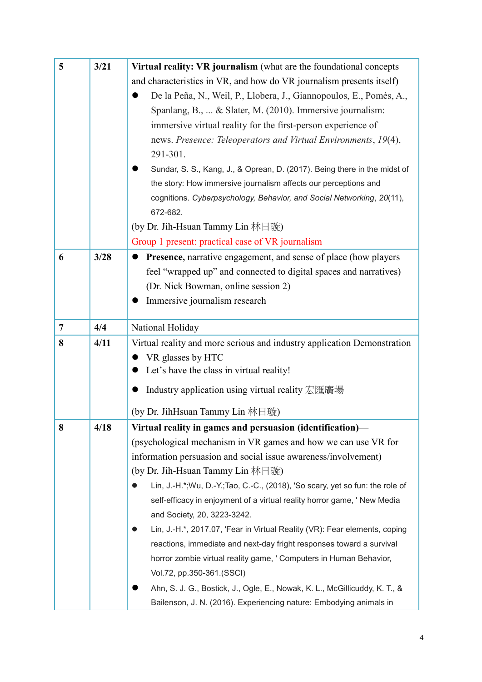| 5              | 3/21 | Virtual reality: VR journalism (what are the foundational concepts             |
|----------------|------|--------------------------------------------------------------------------------|
|                |      | and characteristics in VR, and how do VR journalism presents itself)           |
|                |      | De la Peña, N., Weil, P., Llobera, J., Giannopoulos, E., Pomés, A.,            |
|                |      | Spanlang, B.,  & Slater, M. (2010). Immersive journalism:                      |
|                |      | immersive virtual reality for the first-person experience of                   |
|                |      | news. Presence: Teleoperators and Virtual Environments, 19(4),                 |
|                |      | 291-301.                                                                       |
|                |      | Sundar, S. S., Kang, J., & Oprean, D. (2017). Being there in the midst of      |
|                |      | the story: How immersive journalism affects our perceptions and                |
|                |      | cognitions. Cyberpsychology, Behavior, and Social Networking, 20(11),          |
|                |      | 672-682.                                                                       |
|                |      | (by Dr. Jih-Hsuan Tammy Lin 林日璇)                                               |
|                |      | Group 1 present: practical case of VR journalism                               |
| 6              | 3/28 | Presence, narrative engagement, and sense of place (how players                |
|                |      | feel "wrapped up" and connected to digital spaces and narratives)              |
|                |      | (Dr. Nick Bowman, online session 2)                                            |
|                |      | Immersive journalism research                                                  |
|                |      |                                                                                |
| $\overline{7}$ | 4/4  | National Holiday                                                               |
| 8              | 4/11 | Virtual reality and more serious and industry application Demonstration        |
|                |      | VR glasses by HTC                                                              |
|                |      | Let's have the class in virtual reality!                                       |
|                |      | Industry application using virtual reality 宏匯廣場                                |
|                |      | (by Dr. JihHsuan Tammy Lin 林日璇)                                                |
| 8              | 4/18 | Virtual reality in games and persuasion (identification)—                      |
|                |      | (psychological mechanism in VR games and how we can use VR for                 |
|                |      | information persuasion and social issue awareness/involvement)                 |
|                |      | (by Dr. Jih-Hsuan Tammy Lin 林日璇)                                               |
|                |      | Lin, J.-H.*; Wu, D.-Y.; Tao, C.-C., (2018), 'So scary, yet so fun: the role of |
|                |      | self-efficacy in enjoyment of a virtual reality horror game, ' New Media       |
|                |      | and Society, 20, 3223-3242.                                                    |
|                |      | Lin, J.-H.*, 2017.07, 'Fear in Virtual Reality (VR): Fear elements, coping     |
|                |      | reactions, immediate and next-day fright responses toward a survival           |
|                |      | horror zombie virtual reality game, ' Computers in Human Behavior,             |
|                |      | Vol.72, pp.350-361.(SSCI)                                                      |
|                |      | Ahn, S. J. G., Bostick, J., Ogle, E., Nowak, K. L., McGillicuddy, K. T., &     |
|                |      | Bailenson, J. N. (2016). Experiencing nature: Embodying animals in             |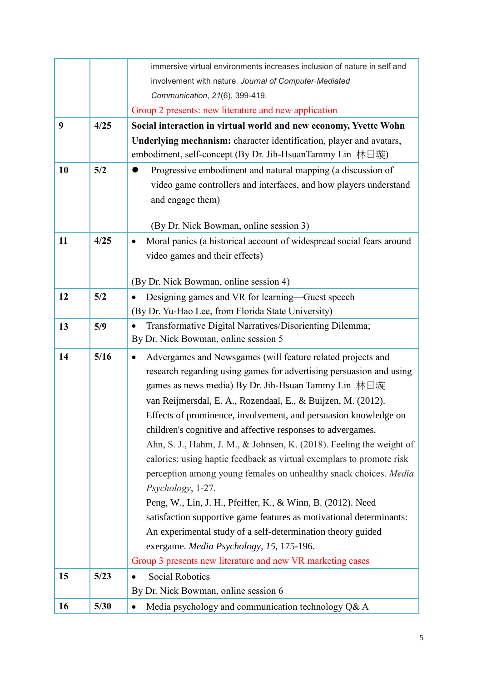|    |      | immersive virtual environments increases inclusion of nature in self and                                                                        |
|----|------|-------------------------------------------------------------------------------------------------------------------------------------------------|
|    |      | involvement with nature. Journal of Computer-Mediated                                                                                           |
|    |      | Communication, 21(6), 399-419.                                                                                                                  |
|    |      | Group 2 presents: new literature and new application                                                                                            |
| 9  | 4/25 | Social interaction in virtual world and new economy, Yvette Wohn                                                                                |
|    |      | Underlying mechanism: character identification, player and avatars,                                                                             |
|    |      | embodiment, self-concept (By Dr. Jih-HsuanTammy Lin 林日璇)                                                                                        |
| 10 | 5/2  | Progressive embodiment and natural mapping (a discussion of                                                                                     |
|    |      | video game controllers and interfaces, and how players understand                                                                               |
|    |      | and engage them)                                                                                                                                |
|    |      |                                                                                                                                                 |
|    |      | (By Dr. Nick Bowman, online session 3)                                                                                                          |
| 11 | 4/25 | Moral panics (a historical account of widespread social fears around<br>$\bullet$                                                               |
|    |      | video games and their effects)                                                                                                                  |
|    |      | (By Dr. Nick Bowman, online session 4)                                                                                                          |
| 12 | 5/2  |                                                                                                                                                 |
|    |      | Designing games and VR for learning—Guest speech<br>$\bullet$<br>(By Dr. Yu-Hao Lee, from Florida State University)                             |
| 13 | 5/9  | Transformative Digital Narratives/Disorienting Dilemma;<br>$\bullet$                                                                            |
|    |      | By Dr. Nick Bowman, online session 5                                                                                                            |
| 14 | 5/16 |                                                                                                                                                 |
|    |      | Advergames and Newsgames (will feature related projects and<br>$\bullet$<br>research regarding using games for advertising persuasion and using |
|    |      | games as news media) By Dr. Jih-Hsuan Tammy Lin 林日璇                                                                                             |
|    |      | van Reijmersdal, E. A., Rozendaal, E., & Buijzen, M. (2012).                                                                                    |
|    |      | Effects of prominence, involvement, and persuasion knowledge on                                                                                 |
|    |      | children's cognitive and affective responses to advergames.                                                                                     |
|    |      | Ahn, S. J., Hahm, J. M., & Johnsen, K. (2018). Feeling the weight of                                                                            |
|    |      | calories: using haptic feedback as virtual exemplars to promote risk                                                                            |
|    |      | perception among young females on unhealthy snack choices. Media                                                                                |
|    |      | Psychology, 1-27.                                                                                                                               |
|    |      | Peng, W., Lin, J. H., Pfeiffer, K., & Winn, B. (2012). Need                                                                                     |
|    |      | satisfaction supportive game features as motivational determinants:                                                                             |
|    |      | An experimental study of a self-determination theory guided                                                                                     |
|    |      | exergame. Media Psychology, 15, 175-196.                                                                                                        |
|    |      | Group 3 presents new literature and new VR marketing cases                                                                                      |
| 15 | 5/23 | <b>Social Robotics</b>                                                                                                                          |
|    |      | By Dr. Nick Bowman, online session 6                                                                                                            |
| 16 | 5/30 | Media psychology and communication technology Q& A                                                                                              |